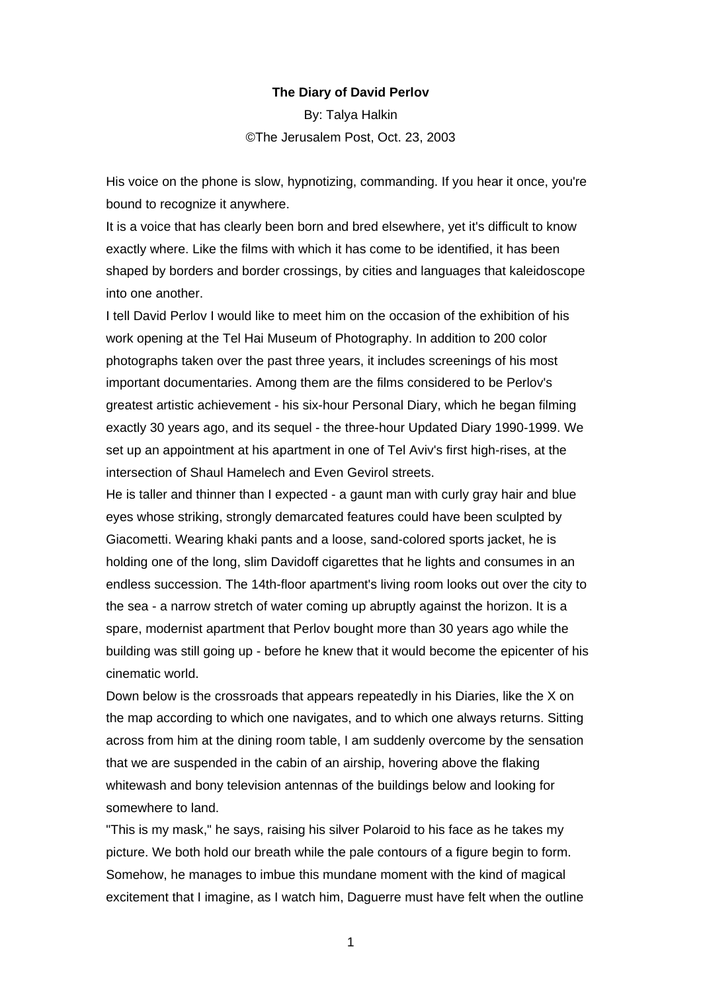## **The Diary of David Perlov**

By: [Talya Halkin](mailto:editors@jpost.com) ©The Jerusalem Post, Oct. 23, 2003

His voice on the phone is slow, hypnotizing, commanding. If you hear it once, you're bound to recognize it anywhere.

It is a voice that has clearly been born and bred elsewhere, yet it's difficult to know exactly where. Like the films with which it has come to be identified, it has been shaped by borders and border crossings, by cities and languages that kaleidoscope into one another.

I tell David Perlov I would like to meet him on the occasion of the exhibition of his work opening at the Tel Hai Museum of Photography. In addition to 200 color photographs taken over the past three years, it includes screenings of his most important documentaries. Among them are the films considered to be Perlov's greatest artistic achievement - his six-hour Personal Diary, which he began filming exactly 30 years ago, and its sequel - the three-hour Updated Diary 1990-1999. We set up an appointment at his apartment in one of Tel Aviv's first high-rises, at the intersection of Shaul Hamelech and Even Gevirol streets.

He is taller and thinner than I expected - a gaunt man with curly gray hair and blue eyes whose striking, strongly demarcated features could have been sculpted by Giacometti. Wearing khaki pants and a loose, sand-colored sports jacket, he is holding one of the long, slim Davidoff cigarettes that he lights and consumes in an endless succession. The 14th-floor apartment's living room looks out over the city to the sea - a narrow stretch of water coming up abruptly against the horizon. It is a spare, modernist apartment that Perlov bought more than 30 years ago while the building was still going up - before he knew that it would become the epicenter of his cinematic world.

Down below is the crossroads that appears repeatedly in his Diaries, like the X on the map according to which one navigates, and to which one always returns. Sitting across from him at the dining room table, I am suddenly overcome by the sensation that we are suspended in the cabin of an airship, hovering above the flaking whitewash and bony television antennas of the buildings below and looking for somewhere to land.

"This is my mask," he says, raising his silver Polaroid to his face as he takes my picture. We both hold our breath while the pale contours of a figure begin to form. Somehow, he manages to imbue this mundane moment with the kind of magical excitement that I imagine, as I watch him, Daguerre must have felt when the outline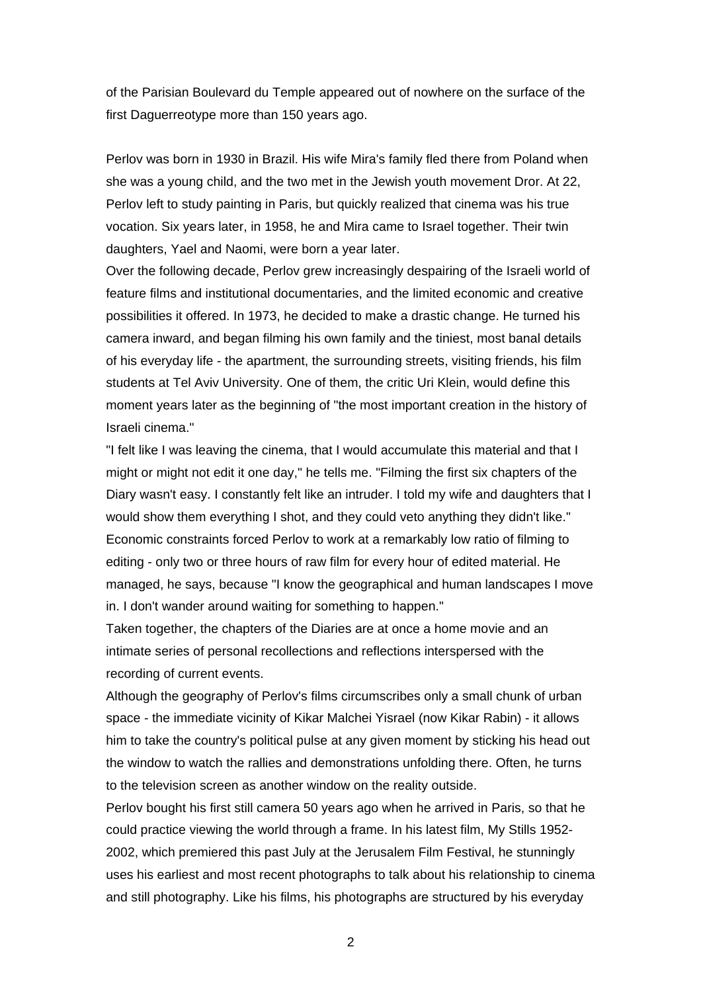of the Parisian Boulevard du Temple appeared out of nowhere on the surface of the first Daguerreotype more than 150 years ago.

Perlov was born in 1930 in Brazil. His wife Mira's family fled there from Poland when she was a young child, and the two met in the Jewish youth movement Dror. At 22, Perlov left to study painting in Paris, but quickly realized that cinema was his true vocation. Six years later, in 1958, he and Mira came to Israel together. Their twin daughters, Yael and Naomi, were born a year later.

Over the following decade, Perlov grew increasingly despairing of the Israeli world of feature films and institutional documentaries, and the limited economic and creative possibilities it offered. In 1973, he decided to make a drastic change. He turned his camera inward, and began filming his own family and the tiniest, most banal details of his everyday life - the apartment, the surrounding streets, visiting friends, his film students at Tel Aviv University. One of them, the critic Uri Klein, would define this moment years later as the beginning of "the most important creation in the history of Israeli cinema."

"I felt like I was leaving the cinema, that I would accumulate this material and that I might or might not edit it one day," he tells me. "Filming the first six chapters of the Diary wasn't easy. I constantly felt like an intruder. I told my wife and daughters that I would show them everything I shot, and they could veto anything they didn't like." Economic constraints forced Perlov to work at a remarkably low ratio of filming to editing - only two or three hours of raw film for every hour of edited material. He managed, he says, because "I know the geographical and human landscapes I move in. I don't wander around waiting for something to happen."

Taken together, the chapters of the Diaries are at once a home movie and an intimate series of personal recollections and reflections interspersed with the recording of current events.

Although the geography of Perlov's films circumscribes only a small chunk of urban space - the immediate vicinity of Kikar Malchei Yisrael (now Kikar Rabin) - it allows him to take the country's political pulse at any given moment by sticking his head out the window to watch the rallies and demonstrations unfolding there. Often, he turns to the television screen as another window on the reality outside.

Perlov bought his first still camera 50 years ago when he arrived in Paris, so that he could practice viewing the world through a frame. In his latest film, My Stills 1952- 2002, which premiered this past July at the Jerusalem Film Festival, he stunningly uses his earliest and most recent photographs to talk about his relationship to cinema and still photography. Like his films, his photographs are structured by his everyday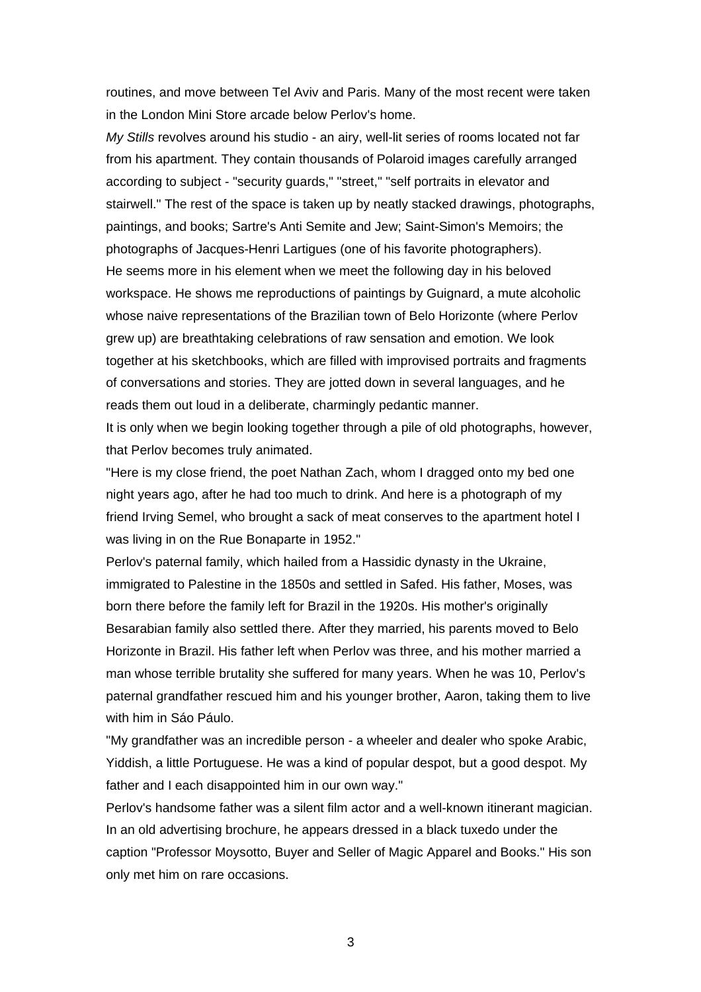routines, and move between Tel Aviv and Paris. Many of the most recent were taken in the London Mini Store arcade below Perlov's home.

*My Stills* revolves around his studio - an airy, well-lit series of rooms located not far from his apartment. They contain thousands of Polaroid images carefully arranged according to subject - "security guards," "street," "self portraits in elevator and stairwell." The rest of the space is taken up by neatly stacked drawings, photographs, paintings, and books; Sartre's Anti Semite and Jew; Saint-Simon's Memoirs; the photographs of Jacques-Henri Lartigues (one of his favorite photographers). He seems more in his element when we meet the following day in his beloved workspace. He shows me reproductions of paintings by Guignard, a mute alcoholic whose naive representations of the Brazilian town of Belo Horizonte (where Perlov grew up) are breathtaking celebrations of raw sensation and emotion. We look together at his sketchbooks, which are filled with improvised portraits and fragments of conversations and stories. They are jotted down in several languages, and he reads them out loud in a deliberate, charmingly pedantic manner.

It is only when we begin looking together through a pile of old photographs, however, that Perlov becomes truly animated.

"Here is my close friend, the poet Nathan Zach, whom I dragged onto my bed one night years ago, after he had too much to drink. And here is a photograph of my friend Irving Semel, who brought a sack of meat conserves to the apartment hotel I was living in on the Rue Bonaparte in 1952."

Perlov's paternal family, which hailed from a Hassidic dynasty in the Ukraine, immigrated to Palestine in the 1850s and settled in Safed. His father, Moses, was born there before the family left for Brazil in the 1920s. His mother's originally Besarabian family also settled there. After they married, his parents moved to Belo Horizonte in Brazil. His father left when Perlov was three, and his mother married a man whose terrible brutality she suffered for many years. When he was 10, Perlov's paternal grandfather rescued him and his younger brother, Aaron, taking them to live with him in Sáo Páulo.

"My grandfather was an incredible person - a wheeler and dealer who spoke Arabic, Yiddish, a little Portuguese. He was a kind of popular despot, but a good despot. My father and I each disappointed him in our own way."

Perlov's handsome father was a silent film actor and a well-known itinerant magician. In an old advertising brochure, he appears dressed in a black tuxedo under the caption "Professor Moysotto, Buyer and Seller of Magic Apparel and Books." His son only met him on rare occasions.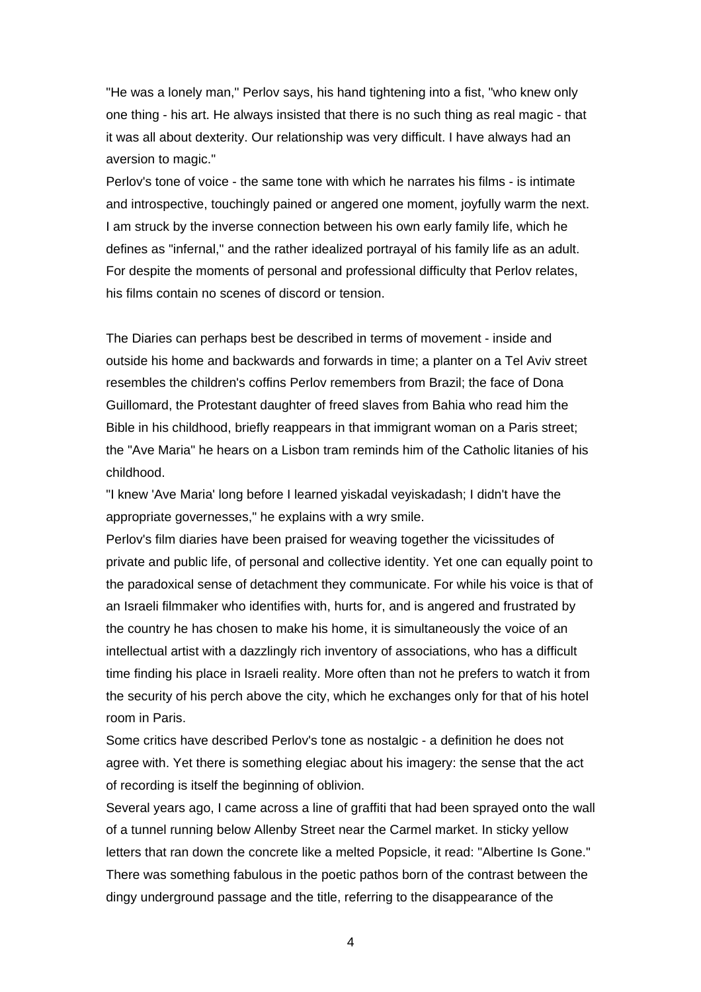"He was a lonely man," Perlov says, his hand tightening into a fist, "who knew only one thing - his art. He always insisted that there is no such thing as real magic - that it was all about dexterity. Our relationship was very difficult. I have always had an aversion to magic."

Perlov's tone of voice - the same tone with which he narrates his films - is intimate and introspective, touchingly pained or angered one moment, joyfully warm the next. I am struck by the inverse connection between his own early family life, which he defines as "infernal," and the rather idealized portrayal of his family life as an adult. For despite the moments of personal and professional difficulty that Perlov relates, his films contain no scenes of discord or tension.

The Diaries can perhaps best be described in terms of movement - inside and outside his home and backwards and forwards in time; a planter on a Tel Aviv street resembles the children's coffins Perlov remembers from Brazil; the face of Dona Guillomard, the Protestant daughter of freed slaves from Bahia who read him the Bible in his childhood, briefly reappears in that immigrant woman on a Paris street; the "Ave Maria" he hears on a Lisbon tram reminds him of the Catholic litanies of his childhood.

"I knew 'Ave Maria' long before I learned yiskadal veyiskadash; I didn't have the appropriate governesses," he explains with a wry smile.

Perlov's film diaries have been praised for weaving together the vicissitudes of private and public life, of personal and collective identity. Yet one can equally point to the paradoxical sense of detachment they communicate. For while his voice is that of an Israeli filmmaker who identifies with, hurts for, and is angered and frustrated by the country he has chosen to make his home, it is simultaneously the voice of an intellectual artist with a dazzlingly rich inventory of associations, who has a difficult time finding his place in Israeli reality. More often than not he prefers to watch it from the security of his perch above the city, which he exchanges only for that of his hotel room in Paris.

Some critics have described Perlov's tone as nostalgic - a definition he does not agree with. Yet there is something elegiac about his imagery: the sense that the act of recording is itself the beginning of oblivion.

Several years ago, I came across a line of graffiti that had been sprayed onto the wall of a tunnel running below Allenby Street near the Carmel market. In sticky yellow letters that ran down the concrete like a melted Popsicle, it read: "Albertine Is Gone." There was something fabulous in the poetic pathos born of the contrast between the dingy underground passage and the title, referring to the disappearance of the